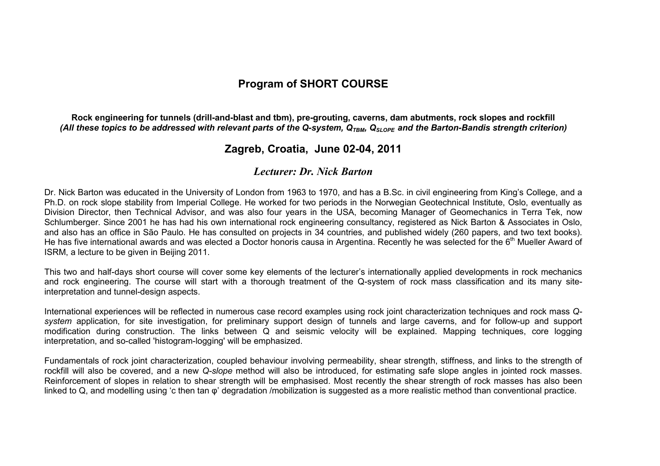## Program of SHORT COURSE

Rock engineering for tunnels (drill-and-blast and tbm), pre-grouting, caverns, dam abutments, rock slopes and rockfill (All these topics to be addressed with relevant parts of the Q-system, Q<sub>TBM</sub>, Q<sub>SLOPE</sub> and the Barton-Bandis strength criterion)

## Zagreb, Croatia, June 02-04, 2011

## *Lecturer: Dr. Nick Barton*

Dr. Nick Barton was educated in the University of London from 1963 to 1970, and has a B.Sc. in civil engineering from King's College, and a Ph.D. on rock slope stability from Imperial College. He worked for two periods in the Norwegian Geotechnical Institute, Oslo, eventually as Division Director, then Technical Advisor, and was also four years in the USA, becoming Manager of Geomechanics in Terra Tek, now Schlumberger. Since 2001 he has had his own international rock engineering consultancy, registered as Nick Barton & Associates in Oslo, and also has an office in São Paulo. He has consulted on projects in 34 countries, and published widely (260 papers, and two text books). He has five international awards and was elected a Doctor honoris causa in Argentina. Recently he was selected for the 6<sup>th</sup> Mueller Award of ISRM, a lecture to be given in Beijing 2011.

This two and half-days short course will cover some key elements of the lecturer's internationally applied developments in rock mechanics and rock engineering. The course will start with a thorough treatment of the Q-system of rock mass classification and its many siteinterpretation and tunnel-design aspects.

International experiences will be reflected in numerous case record examples using rock joint characterization techniques and rock mass Qsystem application, for site investigation, for preliminary support design of tunnels and large caverns, and for follow-up and support modification during construction. The links between Q and seismic velocity will be explained. Mapping techniques, core logging interpretation, and so-called 'histogram-logging' will be emphasized.

Fundamentals of rock joint characterization, coupled behaviour involving permeability, shear strength, stiffness, and links to the strength of rockfill will also be covered, and a new Q-slope method will also be introduced, for estimating safe slope angles in jointed rock masses. Reinforcement of slopes in relation to shear strength will be emphasised. Most recently the shear strength of rock masses has also been linked to Q, and modelling using 'c then tan φ' degradation /mobilization is suggested as a more realistic method than conventional practice.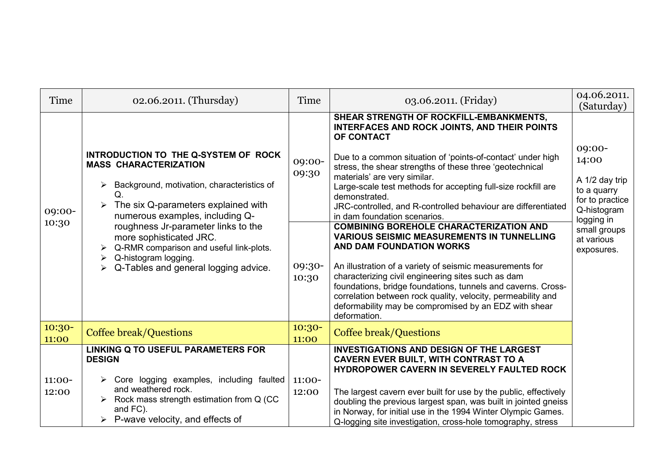| Time              | 02.06.2011. (Thursday)                                                                                                                                                                                                                                                                                                                                                                                             | Time                               | 03.06.2011. (Friday)                                                                                                                                                                                                                                                                                                                                                                                                                                                                                                                                                                                                                                                                                                                                                                                                                                                                                              | 04.06.2011.<br>(Saturday)                                                                                                                    |
|-------------------|--------------------------------------------------------------------------------------------------------------------------------------------------------------------------------------------------------------------------------------------------------------------------------------------------------------------------------------------------------------------------------------------------------------------|------------------------------------|-------------------------------------------------------------------------------------------------------------------------------------------------------------------------------------------------------------------------------------------------------------------------------------------------------------------------------------------------------------------------------------------------------------------------------------------------------------------------------------------------------------------------------------------------------------------------------------------------------------------------------------------------------------------------------------------------------------------------------------------------------------------------------------------------------------------------------------------------------------------------------------------------------------------|----------------------------------------------------------------------------------------------------------------------------------------------|
| 09:00-<br>10:30   | INTRODUCTION TO THE Q-SYSTEM OF ROCK<br><b>MASS CHARACTERIZATION</b><br>Background, motivation, characteristics of<br>➤<br>Q.<br>The six Q-parameters explained with<br>$\blacktriangleright$<br>numerous examples, including Q-<br>roughness Jr-parameter links to the<br>more sophisticated JRC.<br>Q-RMR comparison and useful link-plots.<br>Q-histogram logging.<br>➤<br>Q-Tables and general logging advice. | 09:00-<br>09:30<br>09:30-<br>10:30 | SHEAR STRENGTH OF ROCKFILL-EMBANKMENTS,<br>INTERFACES AND ROCK JOINTS, AND THEIR POINTS<br>OF CONTACT<br>Due to a common situation of 'points-of-contact' under high<br>stress, the shear strengths of these three 'geotechnical<br>materials' are very similar.<br>Large-scale test methods for accepting full-size rockfill are<br>demonstrated.<br>JRC-controlled, and R-controlled behaviour are differentiated<br>in dam foundation scenarios.<br><b>COMBINING BOREHOLE CHARACTERIZATION AND</b><br><b>VARIOUS SEISMIC MEASUREMENTS IN TUNNELLING</b><br>AND DAM FOUNDATION WORKS<br>An illustration of a variety of seismic measurements for<br>characterizing civil engineering sites such as dam<br>foundations, bridge foundations, tunnels and caverns. Cross-<br>correlation between rock quality, velocity, permeability and<br>deformability may be compromised by an EDZ with shear<br>deformation. | 09:00-<br>14:00<br>A 1/2 day trip<br>to a quarry<br>for to practice<br>Q-histogram<br>logging in<br>small groups<br>at various<br>exposures. |
| $10:30-$<br>11:00 | <b>Coffee break/Questions</b>                                                                                                                                                                                                                                                                                                                                                                                      | $10:30-$<br>11:00                  | <b>Coffee break/Questions</b>                                                                                                                                                                                                                                                                                                                                                                                                                                                                                                                                                                                                                                                                                                                                                                                                                                                                                     |                                                                                                                                              |
| $11:00-$<br>12:00 | <b>LINKING Q TO USEFUL PARAMETERS FOR</b><br><b>DESIGN</b><br>$\triangleright$ Core logging examples, including faulted<br>and weathered rock.<br>$\triangleright$ Rock mass strength estimation from Q (CC<br>and FC).<br>$\triangleright$ P-wave velocity, and effects of                                                                                                                                        | $11:00-$<br>12:00                  | <b>INVESTIGATIONS AND DESIGN OF THE LARGEST</b><br><b>CAVERN EVER BUILT, WITH CONTRAST TO A</b><br><b>HYDROPOWER CAVERN IN SEVERELY FAULTED ROCK</b><br>The largest cavern ever built for use by the public, effectively<br>doubling the previous largest span, was built in jointed gneiss<br>in Norway, for initial use in the 1994 Winter Olympic Games.<br>Q-logging site investigation, cross-hole tomography, stress                                                                                                                                                                                                                                                                                                                                                                                                                                                                                        |                                                                                                                                              |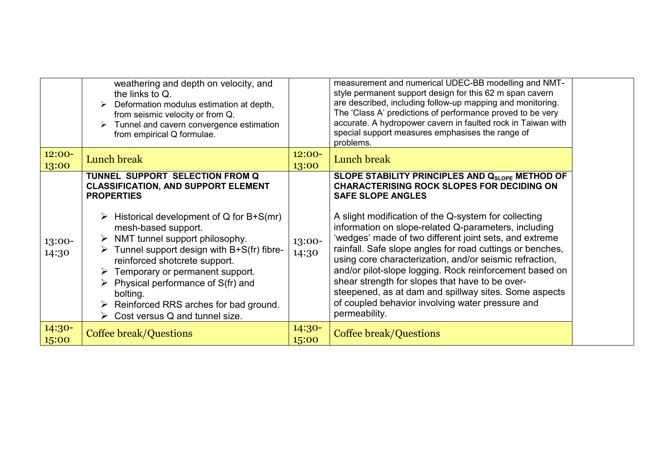|                   | weathering and depth on velocity, and<br>the links to Q.<br>Deformation modulus estimation at depth,<br>from seismic velocity or from Q.<br>Tunnel and cavern convergence estimation<br>from empirical Q formulae.                                                                                                                                                                                                                                                                             |                   | measurement and numerical UDEC-BB modelling and NMT-<br>style permanent support design for this 62 m span cavern<br>are described, including follow-up mapping and monitoring.<br>The 'Class A' predictions of performance proved to be very<br>accurate. A hydropower cavern in faulted rock in Taiwan with<br>special support measures emphasises the range of<br>problems.                                                                                                                                                                                                                                                                                                              |
|-------------------|------------------------------------------------------------------------------------------------------------------------------------------------------------------------------------------------------------------------------------------------------------------------------------------------------------------------------------------------------------------------------------------------------------------------------------------------------------------------------------------------|-------------------|--------------------------------------------------------------------------------------------------------------------------------------------------------------------------------------------------------------------------------------------------------------------------------------------------------------------------------------------------------------------------------------------------------------------------------------------------------------------------------------------------------------------------------------------------------------------------------------------------------------------------------------------------------------------------------------------|
| $12:00-$<br>13:00 | Lunch break                                                                                                                                                                                                                                                                                                                                                                                                                                                                                    | $12:00-$<br>13:00 | Lunch break                                                                                                                                                                                                                                                                                                                                                                                                                                                                                                                                                                                                                                                                                |
| 13:00-<br>14:30   | TUNNEL SUPPORT SELECTION FROM Q<br><b>CLASSIFICATION, AND SUPPORT ELEMENT</b><br><b>PROPERTIES</b><br>Historical development of $Q$ for $B+S(mr)$<br>mesh-based support.<br>NMT tunnel support philosophy.<br>Tunnel support design with B+S(fr) fibre-<br>reinforced shotcrete support.<br>Temporary or permanent support.<br>➤<br>$\triangleright$ Physical performance of S(fr) and<br>bolting.<br>$\triangleright$ Reinforced RRS arches for bad ground.<br>Cost versus Q and tunnel size. | 13:00-<br>14:30   | SLOPE STABILITY PRINCIPLES AND Q <sub>SLOPE</sub> METHOD OF<br><b>CHARACTERISING ROCK SLOPES FOR DECIDING ON</b><br><b>SAFE SLOPE ANGLES</b><br>A slight modification of the Q-system for collecting<br>information on slope-related Q-parameters, including<br>'wedges' made of two different joint sets, and extreme<br>rainfall. Safe slope angles for road cuttings or benches,<br>using core characterization, and/or seismic refraction,<br>and/or pilot-slope logging. Rock reinforcement based on<br>shear strength for slopes that have to be over-<br>steepened, as at dam and spillway sites. Some aspects<br>of coupled behavior involving water pressure and<br>permeability. |
| 14:30-<br>15:00   | <b>Coffee break/Questions</b>                                                                                                                                                                                                                                                                                                                                                                                                                                                                  | 14:30-<br>15:00   | <b>Coffee break/Questions</b>                                                                                                                                                                                                                                                                                                                                                                                                                                                                                                                                                                                                                                                              |